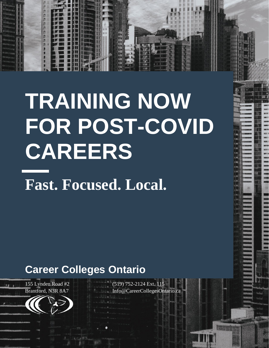# **TRAINING NOW FOR POST-COVID CAREERS**

**Fast. Focused. Local.**

# **Career Colleges Ontario**

155 Lynden Road #2 Brantford, N3R 8A7

地方的



(519) 752-2124 Ext. 115 Info@CareerCollegesOntario.ca